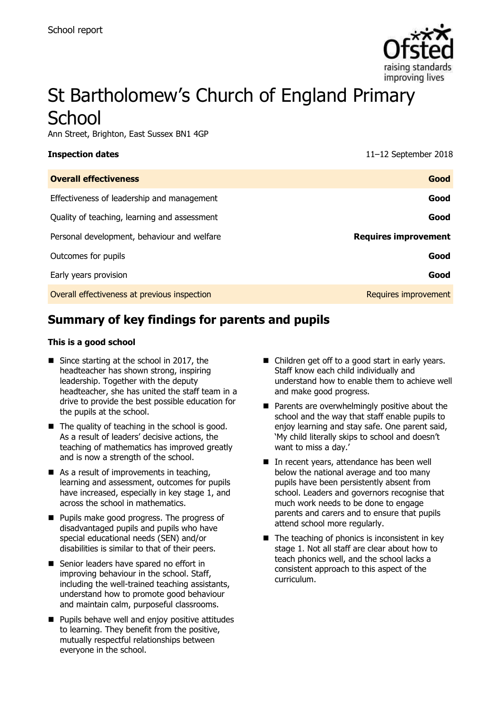

# St Bartholomew's Church of England Primary **School**

Ann Street, Brighton, East Sussex BN1 4GP

**Inspection dates** 11–12 September 2018

| <b>Overall effectiveness</b>                 | Good                        |
|----------------------------------------------|-----------------------------|
| Effectiveness of leadership and management   | Good                        |
| Quality of teaching, learning and assessment | Good                        |
| Personal development, behaviour and welfare  | <b>Requires improvement</b> |
| Outcomes for pupils                          | Good                        |
| Early years provision                        | Good                        |
| Overall effectiveness at previous inspection | Requires improvement        |

# **Summary of key findings for parents and pupils**

### **This is a good school**

- Since starting at the school in 2017, the headteacher has shown strong, inspiring leadership. Together with the deputy headteacher, she has united the staff team in a drive to provide the best possible education for the pupils at the school.
- $\blacksquare$  The quality of teaching in the school is good. As a result of leaders' decisive actions, the teaching of mathematics has improved greatly and is now a strength of the school.
- As a result of improvements in teaching, learning and assessment, outcomes for pupils have increased, especially in key stage 1, and across the school in mathematics.
- **Pupils make good progress. The progress of** disadvantaged pupils and pupils who have special educational needs (SEN) and/or disabilities is similar to that of their peers.
- Senior leaders have spared no effort in improving behaviour in the school. Staff, including the well-trained teaching assistants, understand how to promote good behaviour and maintain calm, purposeful classrooms.
- **Pupils behave well and enjoy positive attitudes** to learning. They benefit from the positive, mutually respectful relationships between everyone in the school.
- Children get off to a good start in early years. Staff know each child individually and understand how to enable them to achieve well and make good progress.
- $\blacksquare$  Parents are overwhelmingly positive about the school and the way that staff enable pupils to enjoy learning and stay safe. One parent said, 'My child literally skips to school and doesn't want to miss a day.'
- In recent years, attendance has been well below the national average and too many pupils have been persistently absent from school. Leaders and governors recognise that much work needs to be done to engage parents and carers and to ensure that pupils attend school more regularly.
- $\blacksquare$  The teaching of phonics is inconsistent in key stage 1. Not all staff are clear about how to teach phonics well, and the school lacks a consistent approach to this aspect of the curriculum.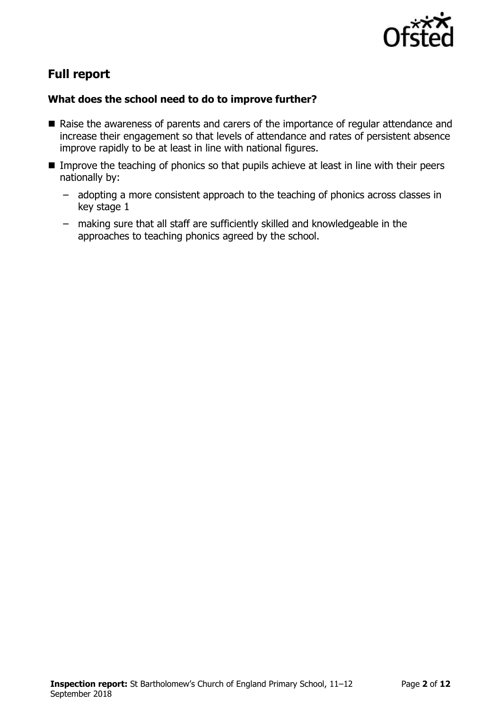

# **Full report**

### **What does the school need to do to improve further?**

- Raise the awareness of parents and carers of the importance of regular attendance and increase their engagement so that levels of attendance and rates of persistent absence improve rapidly to be at least in line with national figures.
- **IMPROVE THE THOMAGE IMMOVE THE LIME IMMOVE THE LIME IMMOVE THE UPIDE IMMOVE IS NOTEN IMMOVE IN THE IMMOVE ISLE** nationally by:
	- adopting a more consistent approach to the teaching of phonics across classes in key stage 1
	- making sure that all staff are sufficiently skilled and knowledgeable in the approaches to teaching phonics agreed by the school.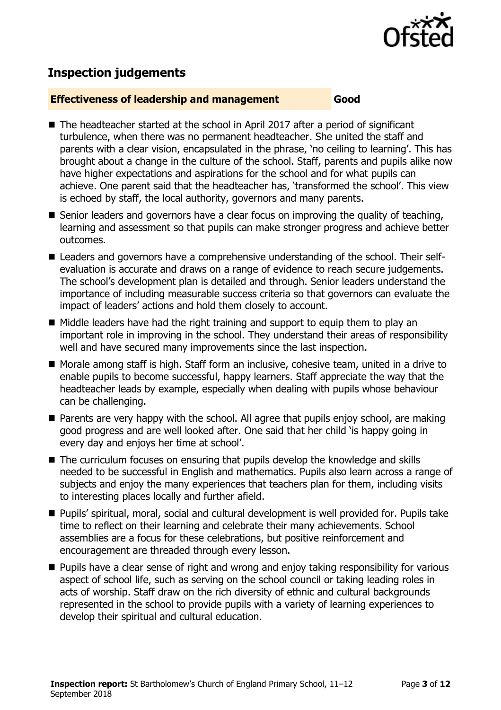

# **Inspection judgements**

### **Effectiveness of leadership and management Good**

- The headteacher started at the school in April 2017 after a period of significant turbulence, when there was no permanent headteacher. She united the staff and parents with a clear vision, encapsulated in the phrase, 'no ceiling to learning'. This has brought about a change in the culture of the school. Staff, parents and pupils alike now have higher expectations and aspirations for the school and for what pupils can achieve. One parent said that the headteacher has, 'transformed the school'. This view is echoed by staff, the local authority, governors and many parents.
- Senior leaders and governors have a clear focus on improving the quality of teaching, learning and assessment so that pupils can make stronger progress and achieve better outcomes.
- Leaders and governors have a comprehensive understanding of the school. Their selfevaluation is accurate and draws on a range of evidence to reach secure judgements. The school's development plan is detailed and through. Senior leaders understand the importance of including measurable success criteria so that governors can evaluate the impact of leaders' actions and hold them closely to account.
- $\blacksquare$  Middle leaders have had the right training and support to equip them to play an important role in improving in the school. They understand their areas of responsibility well and have secured many improvements since the last inspection.
- Morale among staff is high. Staff form an inclusive, cohesive team, united in a drive to enable pupils to become successful, happy learners. Staff appreciate the way that the headteacher leads by example, especially when dealing with pupils whose behaviour can be challenging.
- **Parents are very happy with the school. All agree that pupils enjoy school, are making** good progress and are well looked after. One said that her child 'is happy going in every day and enjoys her time at school'.
- The curriculum focuses on ensuring that pupils develop the knowledge and skills needed to be successful in English and mathematics. Pupils also learn across a range of subjects and enjoy the many experiences that teachers plan for them, including visits to interesting places locally and further afield.
- Pupils' spiritual, moral, social and cultural development is well provided for. Pupils take time to reflect on their learning and celebrate their many achievements. School assemblies are a focus for these celebrations, but positive reinforcement and encouragement are threaded through every lesson.
- **Pupils have a clear sense of right and wrong and enjoy taking responsibility for various** aspect of school life, such as serving on the school council or taking leading roles in acts of worship. Staff draw on the rich diversity of ethnic and cultural backgrounds represented in the school to provide pupils with a variety of learning experiences to develop their spiritual and cultural education.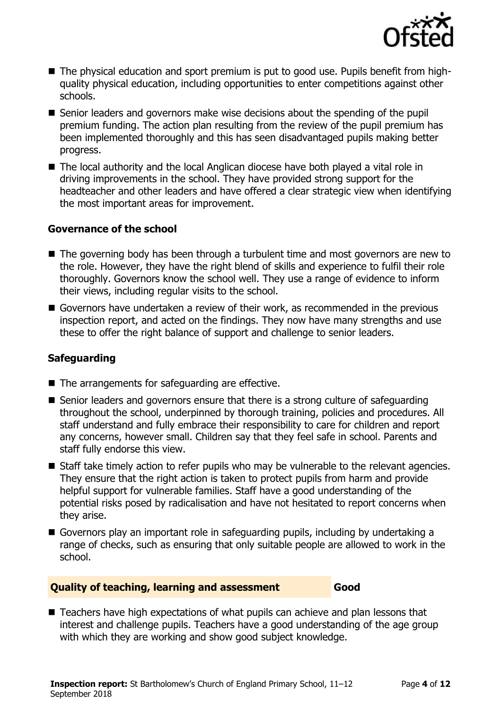

- The physical education and sport premium is put to good use. Pupils benefit from highquality physical education, including opportunities to enter competitions against other schools.
- Senior leaders and governors make wise decisions about the spending of the pupil premium funding. The action plan resulting from the review of the pupil premium has been implemented thoroughly and this has seen disadvantaged pupils making better progress.
- The local authority and the local Anglican diocese have both played a vital role in driving improvements in the school. They have provided strong support for the headteacher and other leaders and have offered a clear strategic view when identifying the most important areas for improvement.

### **Governance of the school**

- The governing body has been through a turbulent time and most governors are new to the role. However, they have the right blend of skills and experience to fulfil their role thoroughly. Governors know the school well. They use a range of evidence to inform their views, including regular visits to the school.
- Governors have undertaken a review of their work, as recommended in the previous inspection report, and acted on the findings. They now have many strengths and use these to offer the right balance of support and challenge to senior leaders.

### **Safeguarding**

- $\blacksquare$  The arrangements for safeguarding are effective.
- Senior leaders and governors ensure that there is a strong culture of safeguarding throughout the school, underpinned by thorough training, policies and procedures. All staff understand and fully embrace their responsibility to care for children and report any concerns, however small. Children say that they feel safe in school. Parents and staff fully endorse this view.
- Staff take timely action to refer pupils who may be vulnerable to the relevant agencies. They ensure that the right action is taken to protect pupils from harm and provide helpful support for vulnerable families. Staff have a good understanding of the potential risks posed by radicalisation and have not hesitated to report concerns when they arise.
- Governors play an important role in safeguarding pupils, including by undertaking a range of checks, such as ensuring that only suitable people are allowed to work in the school.

### **Quality of teaching, learning and assessment Good**

■ Teachers have high expectations of what pupils can achieve and plan lessons that interest and challenge pupils. Teachers have a good understanding of the age group with which they are working and show good subject knowledge.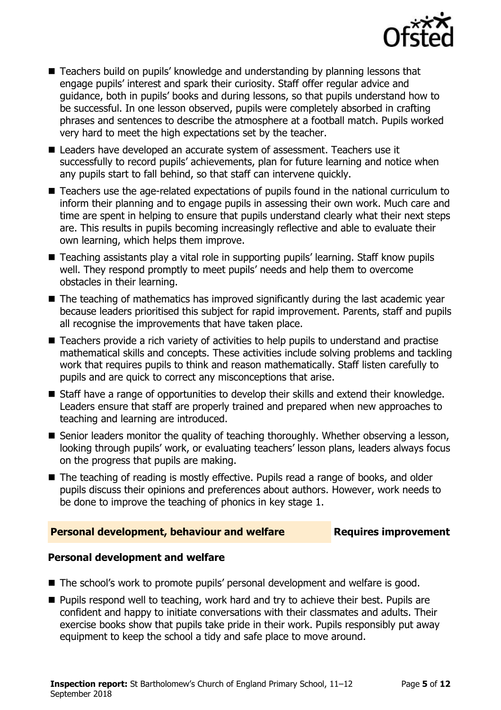

- Teachers build on pupils' knowledge and understanding by planning lessons that engage pupils' interest and spark their curiosity. Staff offer regular advice and guidance, both in pupils' books and during lessons, so that pupils understand how to be successful. In one lesson observed, pupils were completely absorbed in crafting phrases and sentences to describe the atmosphere at a football match. Pupils worked very hard to meet the high expectations set by the teacher.
- Leaders have developed an accurate system of assessment. Teachers use it successfully to record pupils' achievements, plan for future learning and notice when any pupils start to fall behind, so that staff can intervene quickly.
- Teachers use the age-related expectations of pupils found in the national curriculum to inform their planning and to engage pupils in assessing their own work. Much care and time are spent in helping to ensure that pupils understand clearly what their next steps are. This results in pupils becoming increasingly reflective and able to evaluate their own learning, which helps them improve.
- Teaching assistants play a vital role in supporting pupils' learning. Staff know pupils well. They respond promptly to meet pupils' needs and help them to overcome obstacles in their learning.
- The teaching of mathematics has improved significantly during the last academic year because leaders prioritised this subject for rapid improvement. Parents, staff and pupils all recognise the improvements that have taken place.
- Teachers provide a rich variety of activities to help pupils to understand and practise mathematical skills and concepts. These activities include solving problems and tackling work that requires pupils to think and reason mathematically. Staff listen carefully to pupils and are quick to correct any misconceptions that arise.
- Staff have a range of opportunities to develop their skills and extend their knowledge. Leaders ensure that staff are properly trained and prepared when new approaches to teaching and learning are introduced.
- Senior leaders monitor the quality of teaching thoroughly. Whether observing a lesson, looking through pupils' work, or evaluating teachers' lesson plans, leaders always focus on the progress that pupils are making.
- The teaching of reading is mostly effective. Pupils read a range of books, and older pupils discuss their opinions and preferences about authors. However, work needs to be done to improve the teaching of phonics in key stage 1.

### **Personal development, behaviour and welfare Fig. 2.1 Requires improvement**

### **Personal development and welfare**

- The school's work to promote pupils' personal development and welfare is good.
- **Pupils respond well to teaching, work hard and try to achieve their best. Pupils are** confident and happy to initiate conversations with their classmates and adults. Their exercise books show that pupils take pride in their work. Pupils responsibly put away equipment to keep the school a tidy and safe place to move around.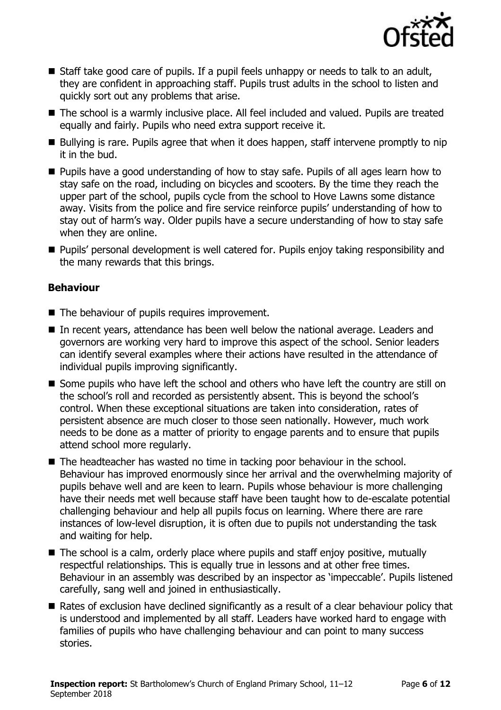

- Staff take good care of pupils. If a pupil feels unhappy or needs to talk to an adult, they are confident in approaching staff. Pupils trust adults in the school to listen and quickly sort out any problems that arise.
- The school is a warmly inclusive place. All feel included and valued. Pupils are treated equally and fairly. Pupils who need extra support receive it.
- Bullying is rare. Pupils agree that when it does happen, staff intervene promptly to nip it in the bud.
- Pupils have a good understanding of how to stay safe. Pupils of all ages learn how to stay safe on the road, including on bicycles and scooters. By the time they reach the upper part of the school, pupils cycle from the school to Hove Lawns some distance away. Visits from the police and fire service reinforce pupils' understanding of how to stay out of harm's way. Older pupils have a secure understanding of how to stay safe when they are online.
- **Pupils' personal development is well catered for. Pupils enjoy taking responsibility and** the many rewards that this brings.

### **Behaviour**

- The behaviour of pupils requires improvement.
- In recent years, attendance has been well below the national average. Leaders and governors are working very hard to improve this aspect of the school. Senior leaders can identify several examples where their actions have resulted in the attendance of individual pupils improving significantly.
- Some pupils who have left the school and others who have left the country are still on the school's roll and recorded as persistently absent. This is beyond the school's control. When these exceptional situations are taken into consideration, rates of persistent absence are much closer to those seen nationally. However, much work needs to be done as a matter of priority to engage parents and to ensure that pupils attend school more regularly.
- The headteacher has wasted no time in tacking poor behaviour in the school. Behaviour has improved enormously since her arrival and the overwhelming majority of pupils behave well and are keen to learn. Pupils whose behaviour is more challenging have their needs met well because staff have been taught how to de-escalate potential challenging behaviour and help all pupils focus on learning. Where there are rare instances of low-level disruption, it is often due to pupils not understanding the task and waiting for help.
- The school is a calm, orderly place where pupils and staff enjoy positive, mutually respectful relationships. This is equally true in lessons and at other free times. Behaviour in an assembly was described by an inspector as 'impeccable'. Pupils listened carefully, sang well and joined in enthusiastically.
- Rates of exclusion have declined significantly as a result of a clear behaviour policy that is understood and implemented by all staff. Leaders have worked hard to engage with families of pupils who have challenging behaviour and can point to many success stories.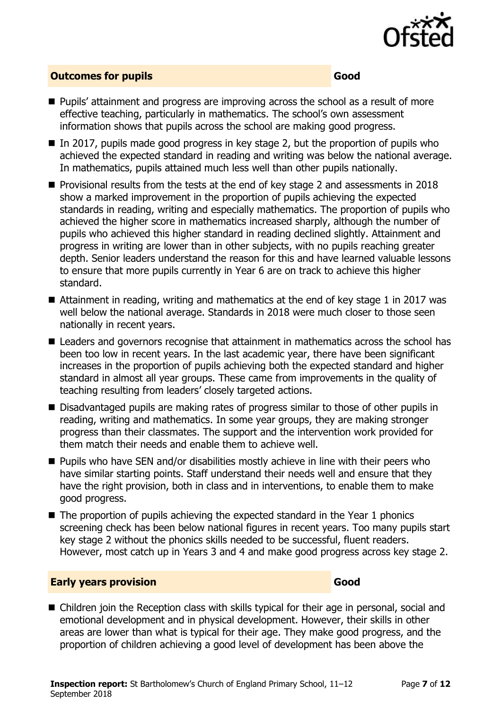

### **Outcomes for pupils Good**

- Pupils' attainment and progress are improving across the school as a result of more effective teaching, particularly in mathematics. The school's own assessment information shows that pupils across the school are making good progress.
- $\blacksquare$  In 2017, pupils made good progress in key stage 2, but the proportion of pupils who achieved the expected standard in reading and writing was below the national average. In mathematics, pupils attained much less well than other pupils nationally.
- **Provisional results from the tests at the end of key stage 2 and assessments in 2018** show a marked improvement in the proportion of pupils achieving the expected standards in reading, writing and especially mathematics. The proportion of pupils who achieved the higher score in mathematics increased sharply, although the number of pupils who achieved this higher standard in reading declined slightly. Attainment and progress in writing are lower than in other subjects, with no pupils reaching greater depth. Senior leaders understand the reason for this and have learned valuable lessons to ensure that more pupils currently in Year 6 are on track to achieve this higher standard.
- Attainment in reading, writing and mathematics at the end of key stage 1 in 2017 was well below the national average. Standards in 2018 were much closer to those seen nationally in recent years.
- Leaders and governors recognise that attainment in mathematics across the school has been too low in recent years. In the last academic year, there have been significant increases in the proportion of pupils achieving both the expected standard and higher standard in almost all year groups. These came from improvements in the quality of teaching resulting from leaders' closely targeted actions.
- Disadvantaged pupils are making rates of progress similar to those of other pupils in reading, writing and mathematics. In some year groups, they are making stronger progress than their classmates. The support and the intervention work provided for them match their needs and enable them to achieve well.
- **Pupils who have SEN and/or disabilities mostly achieve in line with their peers who** have similar starting points. Staff understand their needs well and ensure that they have the right provision, both in class and in interventions, to enable them to make good progress.
- $\blacksquare$  The proportion of pupils achieving the expected standard in the Year 1 phonics screening check has been below national figures in recent years. Too many pupils start key stage 2 without the phonics skills needed to be successful, fluent readers. However, most catch up in Years 3 and 4 and make good progress across key stage 2.

### **Early years provision Good Good**

■ Children join the Reception class with skills typical for their age in personal, social and emotional development and in physical development. However, their skills in other areas are lower than what is typical for their age. They make good progress, and the proportion of children achieving a good level of development has been above the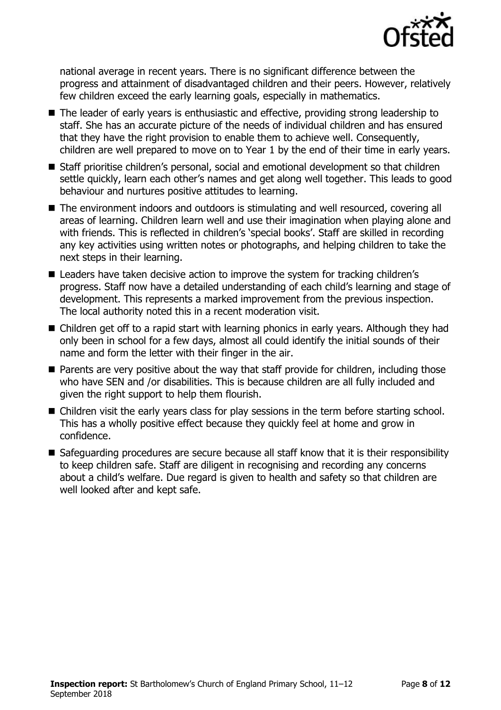

national average in recent years. There is no significant difference between the progress and attainment of disadvantaged children and their peers. However, relatively few children exceed the early learning goals, especially in mathematics.

- The leader of early years is enthusiastic and effective, providing strong leadership to staff. She has an accurate picture of the needs of individual children and has ensured that they have the right provision to enable them to achieve well. Consequently, children are well prepared to move on to Year 1 by the end of their time in early years.
- Staff prioritise children's personal, social and emotional development so that children settle quickly, learn each other's names and get along well together. This leads to good behaviour and nurtures positive attitudes to learning.
- The environment indoors and outdoors is stimulating and well resourced, covering all areas of learning. Children learn well and use their imagination when playing alone and with friends. This is reflected in children's 'special books'. Staff are skilled in recording any key activities using written notes or photographs, and helping children to take the next steps in their learning.
- Leaders have taken decisive action to improve the system for tracking children's progress. Staff now have a detailed understanding of each child's learning and stage of development. This represents a marked improvement from the previous inspection. The local authority noted this in a recent moderation visit.
- Children get off to a rapid start with learning phonics in early years. Although they had only been in school for a few days, almost all could identify the initial sounds of their name and form the letter with their finger in the air.
- **Parents are very positive about the way that staff provide for children, including those** who have SEN and /or disabilities. This is because children are all fully included and given the right support to help them flourish.
- Children visit the early years class for play sessions in the term before starting school. This has a wholly positive effect because they quickly feel at home and grow in confidence.
- Safeguarding procedures are secure because all staff know that it is their responsibility to keep children safe. Staff are diligent in recognising and recording any concerns about a child's welfare. Due regard is given to health and safety so that children are well looked after and kept safe.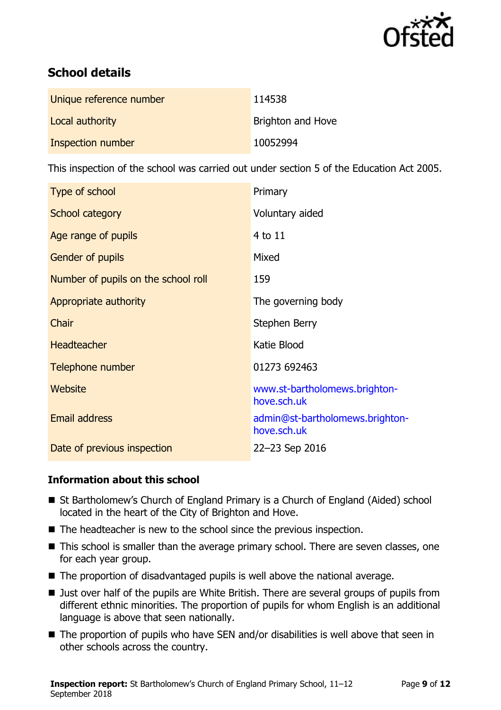

# **School details**

| Unique reference number | 114538                   |
|-------------------------|--------------------------|
| Local authority         | <b>Brighton and Hove</b> |
| Inspection number       | 10052994                 |

This inspection of the school was carried out under section 5 of the Education Act 2005.

| Type of school                      | Primary                                        |
|-------------------------------------|------------------------------------------------|
| School category                     | Voluntary aided                                |
| Age range of pupils                 | 4 to 11                                        |
| Gender of pupils                    | Mixed                                          |
| Number of pupils on the school roll | 159                                            |
| Appropriate authority               | The governing body                             |
| Chair                               | Stephen Berry                                  |
| <b>Headteacher</b>                  | Katie Blood                                    |
| Telephone number                    | 01273 692463                                   |
| Website                             | www.st-bartholomews.brighton-<br>hove.sch.uk   |
| <b>Email address</b>                | admin@st-bartholomews.brighton-<br>hove.sch.uk |
| Date of previous inspection         | 22-23 Sep 2016                                 |

### **Information about this school**

- St Bartholomew's Church of England Primary is a Church of England (Aided) school located in the heart of the City of Brighton and Hove.
- The headteacher is new to the school since the previous inspection.
- This school is smaller than the average primary school. There are seven classes, one for each year group.
- The proportion of disadvantaged pupils is well above the national average.
- Just over half of the pupils are White British. There are several groups of pupils from different ethnic minorities. The proportion of pupils for whom English is an additional language is above that seen nationally.
- The proportion of pupils who have SEN and/or disabilities is well above that seen in other schools across the country.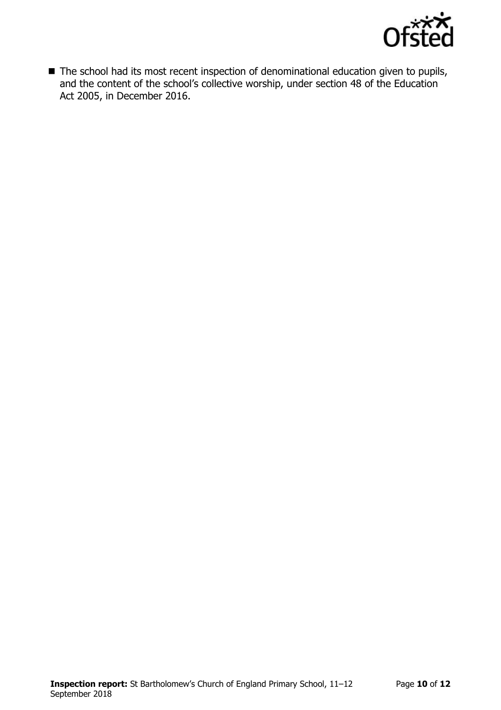

■ The school had its most recent inspection of denominational education given to pupils, and the content of the school's collective worship, under section 48 of the Education Act 2005, in December 2016.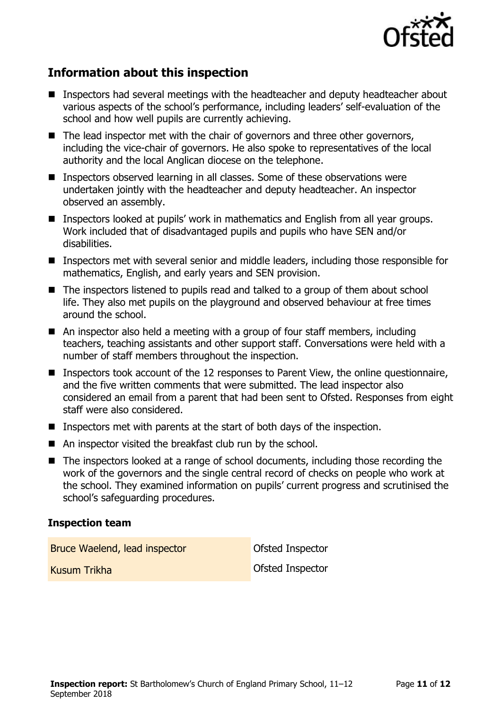

# **Information about this inspection**

- Inspectors had several meetings with the headteacher and deputy headteacher about various aspects of the school's performance, including leaders' self-evaluation of the school and how well pupils are currently achieving.
- The lead inspector met with the chair of governors and three other governors, including the vice-chair of governors. He also spoke to representatives of the local authority and the local Anglican diocese on the telephone.
- Inspectors observed learning in all classes. Some of these observations were undertaken jointly with the headteacher and deputy headteacher. An inspector observed an assembly.
- Inspectors looked at pupils' work in mathematics and English from all year groups. Work included that of disadvantaged pupils and pupils who have SEN and/or disabilities.
- Inspectors met with several senior and middle leaders, including those responsible for mathematics, English, and early years and SEN provision.
- The inspectors listened to pupils read and talked to a group of them about school life. They also met pupils on the playground and observed behaviour at free times around the school.
- An inspector also held a meeting with a group of four staff members, including teachers, teaching assistants and other support staff. Conversations were held with a number of staff members throughout the inspection.
- **Inspectors took account of the 12 responses to Parent View, the online questionnaire,** and the five written comments that were submitted. The lead inspector also considered an email from a parent that had been sent to Ofsted. Responses from eight staff were also considered.
- **Inspectors met with parents at the start of both days of the inspection.**
- An inspector visited the breakfast club run by the school.
- The inspectors looked at a range of school documents, including those recording the work of the governors and the single central record of checks on people who work at the school. They examined information on pupils' current progress and scrutinised the school's safeguarding procedures.

### **Inspection team**

Bruce Waelend, lead inspector **CENTIC CONTENT** Ofsted Inspector

Kusum Trikha Ofsted Inspector